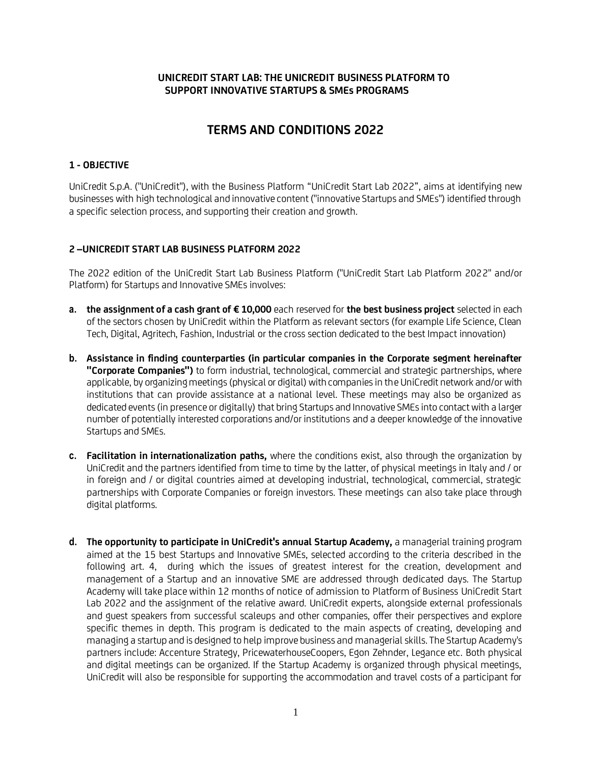# **UNICREDIT START LAB: THE UNICREDIT BUSINESS PLATFORM TO SUPPORT INNOVATIVE STARTUPS & SMEs PROGRAMS**

# **TERMS AND CONDITIONS 2022**

# **1 - OBJECTIVE**

UniCredit S.p.A. ("UniCredit"), with the Business Platform "UniCredit Start Lab 2022", aims at identifying new businesses with high technological and innovative content ("innovative Startups and SMEs") identified through a specific selection process, and supporting their creation and growth.

# **2 –UNICREDIT START LAB BUSINESS PLATFORM 2022**

The 2022 edition of the UniCredit Start Lab Business Platform ("UniCredit Start Lab Platform 2022" and/or Platform) for Startups and Innovative SMEs involves:

- **a. the assignment of a cash grant of € 10,000** each reserved for **the best business project** selected in each of the sectors chosen by UniCredit within the Platform as relevant sectors (for example Life Science, Clean Tech, Digital, Agritech, Fashion, Industrial or the cross section dedicated to the best Impact innovation)
- **b. Assistance in finding counterparties (in particular companies in the Corporate segment hereinafter "Corporate Companies")** to form industrial, technological, commercial and strategic partnerships, where applicable, by organizing meetings (physical or digital) with companies in the UniCredit network and/or with institutions that can provide assistance at a national level. These meetings may also be organized as dedicated events (in presence or digitally) that bring Startups and Innovative SMEs into contact with a larger number of potentially interested corporations and/or institutions and a deeper knowledge of the innovative Startups and SMEs.
- **c. Facilitation in internationalization paths,** where the conditions exist, also through the organization by UniCredit and the partners identified from time to time by the latter, of physical meetings in Italy and / or in foreign and / or digital countries aimed at developing industrial, technological, commercial, strategic partnerships with Corporate Companies or foreign investors. These meetings can also take place through digital platforms.
- **d. The opportunity to participate in UniCredit's annual Startup Academy,** a managerial training program aimed at the 15 best Startups and Innovative SMEs, selected according to the criteria described in the following art. 4, during which the issues of greatest interest for the creation, development and management of a Startup and an innovative SME are addressed through dedicated days. The Startup Academy will take place within 12 months of notice of admission to Platform of Business UniCredit Start Lab 2022 and the assignment of the relative award. UniCredit experts, alongside external professionals and guest speakers from successful scaleups and other companies, offer their perspectives and explore specific themes in depth. This program is dedicated to the main aspects of creating, developing and managing a startup and is designed to help improve business and managerial skills. The Startup Academy's partners include: Accenture Strategy, PricewaterhouseCoopers, Egon Zehnder, Legance etc. Both physical and digital meetings can be organized. If the Startup Academy is organized through physical meetings, UniCredit will also be responsible for supporting the accommodation and travel costs of a participant for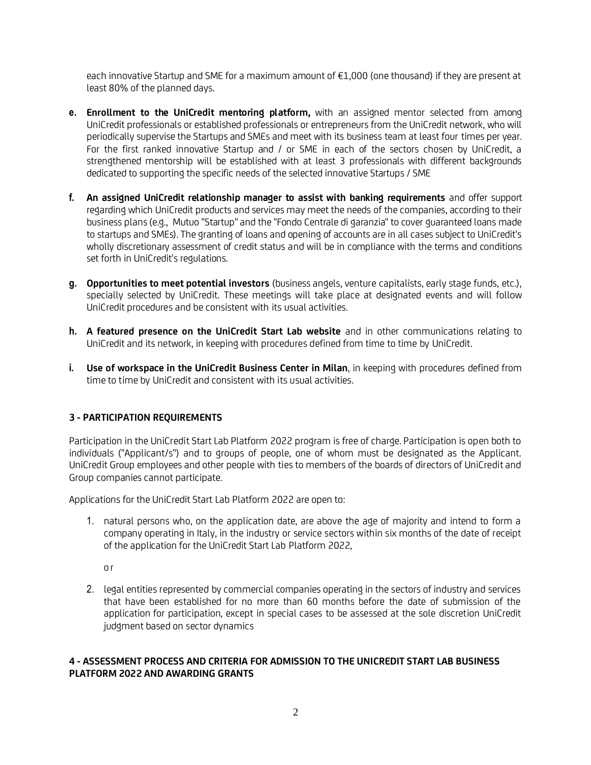each innovative Startup and SME for a maximum amount of €1,000 (one thousand) if they are present at least 80% of the planned days.

- **e. Enrollment to the UniCredit mentoring platform,** with an assigned mentor selected from among UniCredit professionals or established professionals or entrepreneurs from the UniCredit network, who will periodically supervise the Startups and SMEs and meet with its business team at least four times per year. For the first ranked innovative Startup and / or SME in each of the sectors chosen by UniCredit, a strengthened mentorship will be established with at least 3 professionals with different backgrounds dedicated to supporting the specific needs of the selected innovative Startups / SME
- **f. An assigned UniCredit relationship manager to assist with banking requirements** and offer support regarding which UniCredit products and services may meet the needs of the companies, according to their business plans (e.g., Mutuo "Startup" and the "Fondo Centrale di garanzia" to cover guaranteed loans made to startups and SMEs). The granting of loans and opening of accounts are in all cases subject to UniCredit's wholly discretionary assessment of credit status and will be in compliance with the terms and conditions set forth in UniCredit's regulations.
- **g. Opportunities to meet potential investors** (business angels, venture capitalists, early stage funds, etc.), specially selected by UniCredit. These meetings will take place at designated events and will follow UniCredit procedures and be consistent with its usual activities.
- **h. A featured presence on the UniCredit Start Lab website** and in other communications relating to UniCredit and its network, in keeping with procedures defined from time to time by UniCredit.
- **i. Use of workspace in the UniCredit Business Center in Milan**, in keeping with procedures defined from time to time by UniCredit and consistent with its usual activities.

# **3 - PARTICIPATION REQUIREMENTS**

Participation in the UniCredit Start Lab Platform 2022 program is free of charge. Participation is open both to individuals ("Applicant/s") and to groups of people, one of whom must be designated as the Applicant. UniCredit Group employees and other people with ties to members of the boards of directors of UniCredit and Group companies cannot participate.

Applications for the UniCredit Start Lab Platform 2022 are open to:

1. natural persons who, on the application date, are above the age of majority and intend to form a company operating in Italy, in the industry or service sectors within six months of the date of receipt of the application for the UniCredit Start Lab Platform 2022,

o r

2. legal entities represented by commercial companies operating in the sectors of industry and services that have been established for no more than 60 months before the date of submission of the application for participation, except in special cases to be assessed at the sole discretion UniCredit judgment based on sector dynamics

# **4 - ASSESSMENT PROCESS AND CRITERIA FOR ADMISSION TO THE UNICREDIT START LAB BUSINESS PLATFORM 2022 AND AWARDING GRANTS**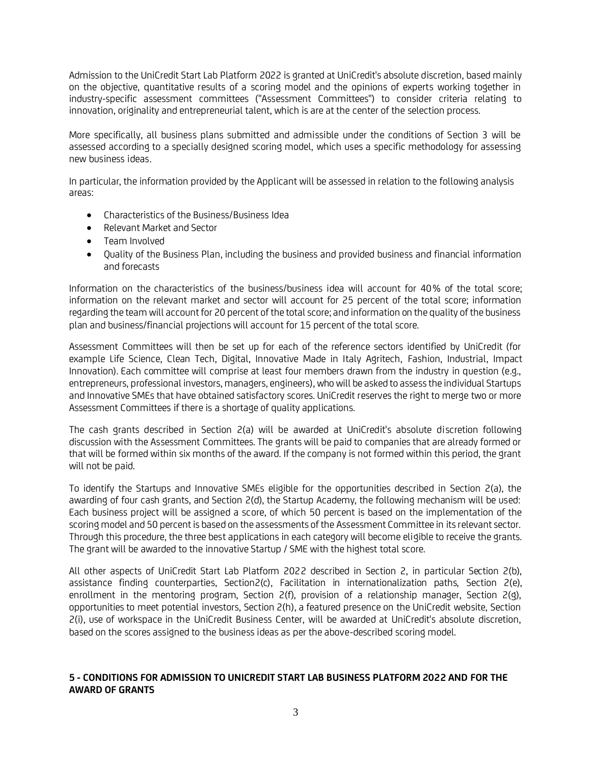Admission to the UniCredit Start Lab Platform 2022 is granted at UniCredit's absolute discretion, based mainly on the objective, quantitative results of a scoring model and the opinions of experts working together in industry-specific assessment committees ("Assessment Committees") to consider criteria relating to innovation, originality and entrepreneurial talent, which is are at the center of the selection process.

More specifically, all business plans submitted and admissible under the conditions of Section 3 will be assessed according to a specially designed scoring model, which uses a specific methodology for assessing new business ideas.

In particular, the information provided by the Applicant will be assessed in relation to the following analysis areas:

- Characteristics of the Business/Business Idea
- Relevant Market and Sector
- Team Involved
- Quality of the Business Plan, including the business and provided business and financial information and forecasts

Information on the characteristics of the business/business idea will account for 40% of the total score; information on the relevant market and sector will account for 25 percent of the total score; information regarding the team will account for 20 percent of the total score; and information on the quality of the business plan and business/financial projections will account for 15 percent of the total score.

Assessment Committees will then be set up for each of the reference sectors identified by UniCredit (for example Life Science, Clean Tech, Digital, Innovative Made in Italy Agritech, Fashion, Industrial, Impact Innovation). Each committee will comprise at least four members drawn from the industry in question (e.g., entrepreneurs, professional investors, managers, engineers), who will be asked to assess the individual Startups and Innovative SMEs that have obtained satisfactory scores. UniCredit reserves the right to merge two or more Assessment Committees if there is a shortage of quality applications.

The cash grants described in Section 2(a) will be awarded at UniCredit's absolute discretion following discussion with the Assessment Committees. The grants will be paid to companies that are already formed or that will be formed within six months of the award. If the company is not formed within this period, the grant will not be paid.

To identify the Startups and Innovative SMEs eligible for the opportunities described in Section 2(a), the awarding of four cash grants, and Section 2(d), the Startup Academy, the following mechanism will be used: Each business project will be assigned a score, of which 50 percent is based on the implementation of the scoring model and 50 percent is based on the assessments of the Assessment Committee in its relevant sector. Through this procedure, the three best applications in each category will become eligible to receive the grants. The grant will be awarded to the innovative Startup / SME with the highest total score.

All other aspects of UniCredit Start Lab Platform 2022 described in Section 2, in particular Section 2(b), assistance finding counterparties, Section2(c), Facilitation in internationalization paths, Section 2(e), enrollment in the mentoring program, Section 2(f), provision of a relationship manager, Section 2(g), opportunities to meet potential investors, Section 2(h), a featured presence on the UniCredit website, Section 2(i), use of workspace in the UniCredit Business Center, will be awarded at UniCredit's absolute discretion, based on the scores assigned to the business ideas as per the above-described scoring model.

# **5 - CONDITIONS FOR ADMISSION TO UNICREDIT START LAB BUSINESS PLATFORM 2022 AND FOR THE AWARD OF GRANTS**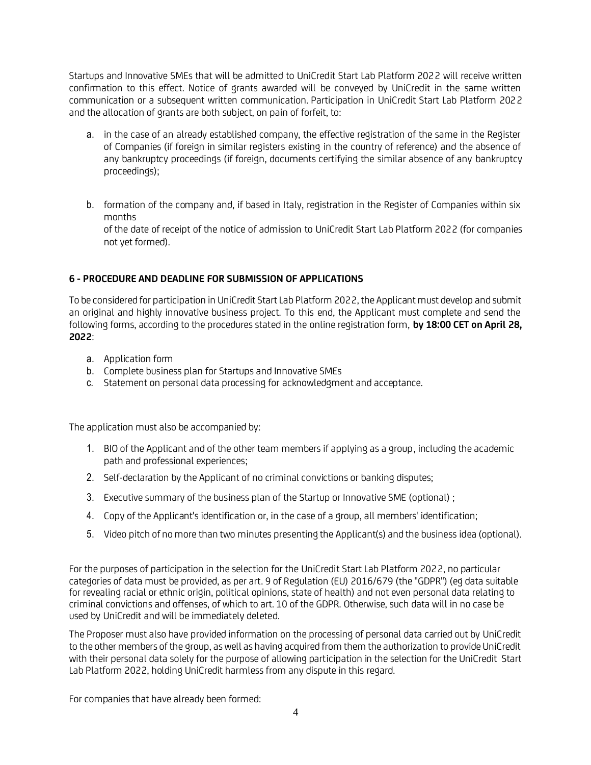Startups and Innovative SMEs that will be admitted to UniCredit Start Lab Platform 2022 will receive written confirmation to this effect. Notice of grants awarded will be conveyed by UniCredit in the same written communication or a subsequent written communication. Participation in UniCredit Start Lab Platform 2022 and the allocation of grants are both subject, on pain of forfeit, to:

- a. in the case of an already established company, the effective registration of the same in the Register of Companies (if foreign in similar registers existing in the country of reference) and the absence of any bankruptcy proceedings (if foreign, documents certifying the similar absence of any bankruptcy proceedings);
- b. formation of the company and, if based in Italy, registration in the Register of Companies within six months of the date of receipt of the notice of admission to UniCredit Start Lab Platform 2022 (for companies not yet formed).

# **6 - PROCEDURE AND DEADLINE FOR SUBMISSION OF APPLICATIONS**

To be considered for participation in UniCredit Start Lab Platform 2022, the Applicant must develop and submit an original and highly innovative business project. To this end, the Applicant must complete and send the following forms, according to the procedures stated in the online registration form, **by 18:00 CET on April 28, 2022**:

- a. Application form
- b. Complete business plan for Startups and Innovative SMEs
- c. Statement on personal data processing for [acknowledgment](https://context.reverso.net/traduzione/inglese-italiano/acknowledgment) and acceptance.

The application must also be accompanied by:

- 1. BIO of the Applicant and of the other team members if applying as a group, including the academic path and professional experiences;
- 2. Self-declaration by the Applicant of no criminal convictions or banking disputes;
- 3. Executive summary of the business plan of the Startup or Innovative SME (optional) ;
- 4. Copy of the Applicant's identification or, in the case of a group, all members' identification;
- 5. Video pitch of no more than two minutes presenting the Applicant(s) and the business idea (optional).

For the purposes of participation in the selection for the UniCredit Start Lab Platform 2022, no particular categories of data must be provided, as per art. 9 of Regulation (EU) 2016/679 (the "GDPR") (eg data suitable for revealing racial or ethnic origin, political opinions, state of health) and not even personal data relating to criminal convictions and offenses, of which to art. 10 of the GDPR. Otherwise, such data will in no case be used by UniCredit and will be immediately deleted.

The Proposer must also have provided information on the processing of personal data carried out by UniCredit to the other members of the group, as well as having acquired from them the authorization to provide UniCredit with their personal data solely for the purpose of allowing participation in the selection for the UniCredit Start Lab Platform 2022, holding UniCredit harmless from any dispute in this regard.

For companies that have already been formed: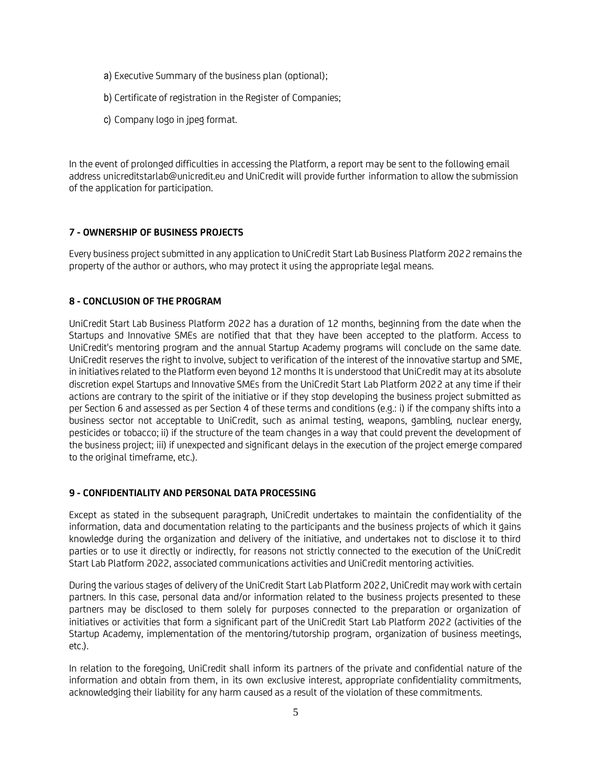- a) Executive Summary of the business plan (optional);
- b) Certificate of registration in the Register of Companies;
- c) Company logo in jpeg format.

In the event of prolonged difficulties in accessing the Platform, a report may be sent to the following email address unicreditstarlab@unicredit.eu and UniCredit will provide further information to allow the submission of the application for participation.

# **7 - OWNERSHIP OF BUSINESS PROJECTS**

Every business project submitted in any application to UniCredit Start Lab Business Platform 2022 remains the property of the author or authors, who may protect it using the appropriate legal means.

#### **8 - CONCLUSION OF THE PROGRAM**

UniCredit Start Lab Business Platform 2022 has a duration of 12 months, beginning from the date when the Startups and Innovative SMEs are notified that that they have been accepted to the platform. Access to UniCredit's mentoring program and the annual Startup Academy programs will conclude on the same date. UniCredit reserves the right to involve, subject to verification of the interest of the innovative startup and SME, in initiatives related to the Platform even beyond 12 months It is understood that UniCredit may at its absolute discretion expel Startups and Innovative SMEs from the UniCredit Start Lab Platform 2022 at any time if their actions are contrary to the spirit of the initiative or if they stop developing the business project submitted as per Section 6 and assessed as per Section 4 of these terms and conditions (e.g.: i) if the company shifts into a business sector not acceptable to UniCredit, such as animal testing, weapons, gambling, nuclear energy, pesticides or tobacco; ii) if the structure of the team changes in a way that could prevent the development of the business project; iii) if unexpected and significant delays in the execution of the project emerge compared to the original timeframe, etc.).

#### **9 - CONFIDENTIALITY AND PERSONAL DATA PROCESSING**

Except as stated in the subsequent paragraph, UniCredit undertakes to maintain the confidentiality of the information, data and documentation relating to the participants and the business projects of which it gains knowledge during the organization and delivery of the initiative, and undertakes not to disclose it to third parties or to use it directly or indirectly, for reasons not strictly connected to the execution of the UniCredit Start Lab Platform 2022, associated communications activities and UniCredit mentoring activities.

During the various stages of delivery of the UniCredit Start Lab Platform 2022, UniCredit may work with certain partners. In this case, personal data and/or information related to the business projects presented to these partners may be disclosed to them solely for purposes connected to the preparation or organization of initiatives or activities that form a significant part of the UniCredit Start Lab Platform 2022 (activities of the Startup Academy, implementation of the mentoring/tutorship program, organization of business meetings, etc.).

In relation to the foregoing, UniCredit shall inform its partners of the private and confidential nature of the information and obtain from them, in its own exclusive interest, appropriate confidentiality commitments, acknowledging their liability for any harm caused as a result of the violation of these commitments.